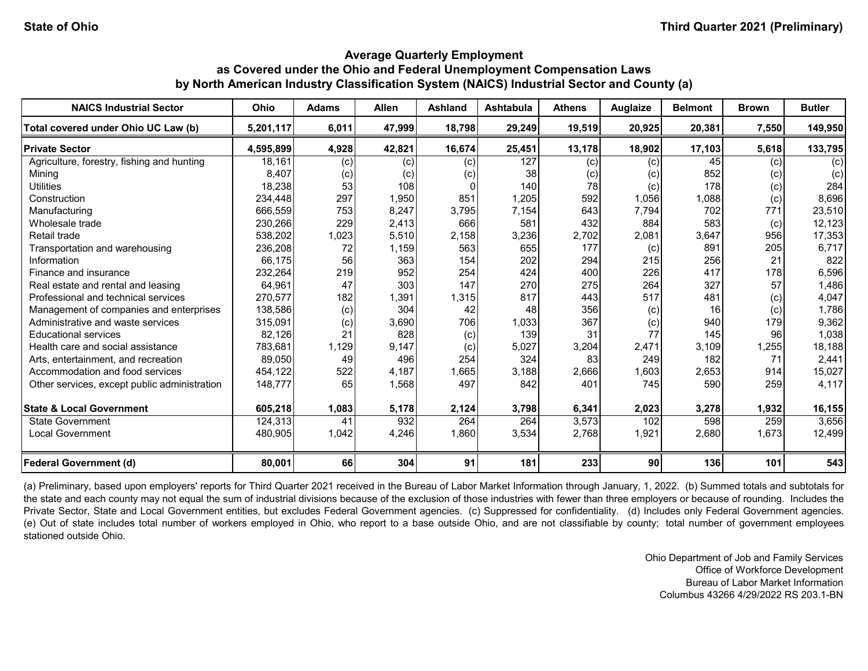| <b>NAICS Industrial Sector</b>               | <b>Ohio</b> | <b>Adams</b> | <b>Allen</b> | Ashland | <b>Ashtabula</b> | <b>Athens</b> | <b>Auglaize</b> | <b>Belmont</b> | <b>Brown</b>      | <b>Butler</b> |
|----------------------------------------------|-------------|--------------|--------------|---------|------------------|---------------|-----------------|----------------|-------------------|---------------|
| Total covered under Ohio UC Law (b)          | 5,201,117   | 6,011        | 47,999       | 18,798  | 29,249           | 19,519        | 20,925          | 20,381         | 7,550             | 149,950       |
| <b>Private Sector</b>                        | 4,595,899   | 4,928        | 42,821       | 16,674  | 25,451           | 13,178        | 18,902          | 17,103         | 5,618             | 133,795       |
| Agriculture, forestry, fishing and hunting   | 18,161      | (c)          | (c)          | (c)     | 127              | (c)           | (c)             | 45             | (c)               | (c)           |
| Mining                                       | 8,407       | (c)          | (c)          | (c)     | 38               | (c)           | (c)             | 852            | (c)               | (c)           |
| <b>Utilities</b>                             | 18,238      | 53           | 108          |         | 140              | 78            | (c)             | 178            | (c)               | 284           |
| Construction                                 | 234.448     | 297          | 1,950        | 851     | 1,205            | 592           | 1,056           | 1,088          | (c)               | 8,696         |
| Manufacturing                                | 666,559     | 753          | 8,247        | 3,795   | 7,154            | 643           | 7,794           | 702            | 771               | 23,510        |
| Wholesale trade                              | 230,266     | 229          | 2,413        | 666     | 581              | 432           | 884             | 583            | (c)               | 12,123        |
| Retail trade                                 | 538,202     | 1,023        | 5,510        | 2,158   | 3,236            | 2,702         | 2,081           | 3,647          | 956               | 17,353        |
| Transportation and warehousing               | 236,208     | 72           | 1,159        | 563     | 655              | 177           | (c)             | 891            | 205               | 6,717         |
| Information                                  | 66,175      | 56           | 363          | 154     | 202              | 294           | 215             | 256            | 21                | 822           |
| Finance and insurance                        | 232,264     | 219          | 952          | 254     | 424              | 400           | 226             | 417            | 178               | 6,596         |
| Real estate and rental and leasing           | 64,961      | 47           | 303          | 147     | 270              | 275           | 264             | 327            | 57                | 1,486         |
| Professional and technical services          | 270,577     | 182          | 1,391        | 1,315   | 817              | 443           | 517             | 481            | $\left( 0\right)$ | 4,047         |
| Management of companies and enterprises      | 138,586     | (c)          | 304          | 42      | 48               | 356           | (c)             | 16             | (c)               | 1,786         |
| Administrative and waste services            | 315,091     | (c)          | 3,690        | 706     | 1,033            | 367           | (c)             | 940            | 179               | 9,362         |
| <b>Educational services</b>                  | 82,126      | 21           | 828          | (c)     | 139              | 31            | 77              | 145            | 96                | 1,038         |
| Health care and social assistance            | 783,681     | 1,129        | 9,147        | (c)     | 5,027            | 3,204         | 2,471           | 3,109          | 1,255             | 18,188        |
| Arts, entertainment, and recreation          | 89,050      | 49           | 496          | 254     | 324              | 83            | 249             | 182            | 71                | 2,441         |
| Accommodation and food services              | 454,122     | 522          | 4,187        | 1,665   | 3,188            | 2,666         | 1,603           | 2,653          | 914               | 15,027        |
| Other services, except public administration | 148,777     | 65           | 1,568        | 497     | 842              | 401           | 745             | 590            | 259               | 4,117         |
| <b>State &amp; Local Government</b>          | 605,218     | 1,083        | 5,178        | 2,124   | 3,798            | 6,341         | 2,023           | 3,278          | 1,932             | 16,155        |
| <b>State Government</b>                      | 124,313     | 41           | 932          | 264     | 264              | 3,573         | 102             | 598            | 259               | 3,656         |
| <b>Local Government</b>                      | 480,905     | 1,042        | 4,246        | 1,860   | 3,534            | 2,768         | 1,921           | 2,680          | 1,673             | 12,499        |
| <b>Federal Government (d)</b>                | 80,001      | 66           | 304          | 91      | 181              | 233           | 90              | 136            | 101               | 543           |

(a) Preliminary, based upon employers' reports for Third Quarter 2021 received in the Bureau of Labor Market Information through January, 1, 2022. (b) Summed totals and subtotals for the state and each county may not equal the sum of industrial divisions because of the exclusion of those industries with fewer than three employers or because of rounding. Includes the Private Sector, State and Local Government entities, but excludes Federal Government agencies. (c) Suppressed for confidentiality. (d) Includes only Federal Government agencies. (e) Out of state includes total number of workers employed in Ohio, who report to a base outside Ohio, and are not classifiable by county; total number of government employees stationed outside Ohio.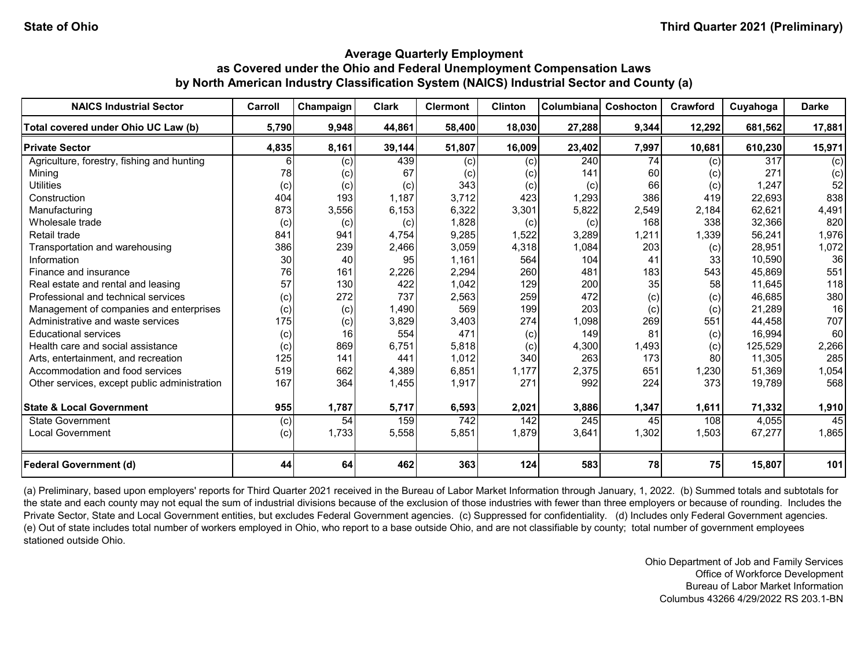| <b>NAICS Industrial Sector</b>               | Carroll | Champaign | <b>Clark</b> | <b>Clermont</b> | <b>Clinton</b> | <b>Columbiana</b> | Coshocton | Crawford        | Cuyahoga | <b>Darke</b> |
|----------------------------------------------|---------|-----------|--------------|-----------------|----------------|-------------------|-----------|-----------------|----------|--------------|
| Total covered under Ohio UC Law (b)          | 5,790   | 9,948     | 44,861       | 58,400          | 18,030         | 27,288            | 9,344     | 12,292          | 681,562  | 17,881       |
| <b>Private Sector</b>                        | 4,835   | 8,161     | 39,144       | 51,807          | 16,009         | 23,402            | 7,997     | 10,681          | 610,230  | 15,971       |
| Agriculture, forestry, fishing and hunting   |         | (c)       | 439          | (c)             | (c)            | 240               | 74        | (c)             | 317      | (c)          |
| Mining                                       | 78      | (c)       | 67           | (c)             | (c)            | 141               | 60        | (c)             | 271      | (c)          |
| <b>Utilities</b>                             | (c)     | (c)       | (c)          | 343             | (c)            | (c)               | 66        | (c)             | 1,247    | 52           |
| Construction                                 | 404     | 193       | 1,187        | 3,712           | 423            | 1,293             | 386       | 419             | 22,693   | 838          |
| Manufacturing                                | 873     | 3,556     | 6,153        | 6,322           | 3,301          | 5,822             | 2,549     | 2,184           | 62,621   | 4,491        |
| Wholesale trade                              | (c)     | (c)       | (c)          | 1,828           | (c)            | (c)               | 168       | 338             | 32,366   | 820          |
| Retail trade                                 | 841     | 941       | 4,754        | 9,285           | 1,522          | 3,289             | 1,211     | 1,339           | 56,241   | 1,976        |
| Transportation and warehousing               | 386     | 239       | 2,466        | 3,059           | 4,318          | 1,084             | 203       | (c)             | 28,951   | 1,072        |
| Information                                  | 30      | 40        | 95           | 1,161           | 564            | 104               | 41        | 33              | 10,590   | 36           |
| Finance and insurance                        | 76      | 161       | 2,226        | 2,294           | 260            | 481               | 183       | 543             | 45,869   | 551          |
| Real estate and rental and leasing           | 57      | 130       | 422          | 1,042           | 129            | 200               | 35        | 58 <sub>l</sub> | 11,645   | 118          |
| Professional and technical services          | (c)     | 272       | 737          | 2,563           | 259            | 472               | (c)       | (c)             | 46,685   | 380          |
| Management of companies and enterprises      | (c)     | (c)       | 1,490        | 569             | 199            | 203               | (c)       | (c)             | 21,289   | 16           |
| Administrative and waste services            | 175     | (c)       | 3,829        | 3,403           | 274            | 1,098             | 269       | 551             | 44,458   | 707          |
| <b>Educational services</b>                  | (c)     | 16        | 554          | 471             | (c)            | 149               | 81        | (c)             | 16,994   | 60           |
| Health care and social assistance            | (c)     | 869       | 6,751        | 5,818           | (c)            | 4,300             | 1,493     | (c)             | 125,529  | 2,266        |
| Arts, entertainment, and recreation          | 125     | 141       | 441          | 1,012           | 340            | 263               | 173       | 80              | 11,305   | 285          |
| Accommodation and food services              | 519     | 662       | 4,389        | 6,851           | 1,177          | 2,375             | 651       | 1,230           | 51,369   | 1,054        |
| Other services, except public administration | 167     | 364       | 1,455        | 1,917           | 271            | 992               | 224       | 373             | 19,789   | 568          |
| <b>State &amp; Local Government</b>          | 955     | 1,787     | 5,717        | 6,593           | 2,021          | 3,886             | 1,347     | 1,611           | 71,332   | 1,910        |
| State Government                             | (c)     | 54        | 159          | 742             | 142            | 245               | 45        | 108             | 4,055    | 45           |
| <b>Local Government</b>                      | (c)     | 1,733     | 5,558        | 5,851           | 1,879          | 3,641             | 1,302     | 1,503           | 67,277   | 1,865        |
| <b>Federal Government (d)</b>                | 44      | 64        | 462          | 363             | 124            | 583               | 78        | 75              | 15,807   | 101          |

(a) Preliminary, based upon employers' reports for Third Quarter 2021 received in the Bureau of Labor Market Information through January, 1, 2022. (b) Summed totals and subtotals for the state and each county may not equal the sum of industrial divisions because of the exclusion of those industries with fewer than three employers or because of rounding. Includes the Private Sector, State and Local Government entities, but excludes Federal Government agencies. (c) Suppressed for confidentiality. (d) Includes only Federal Government agencies. (e) Out of state includes total number of workers employed in Ohio, who report to a base outside Ohio, and are not classifiable by county; total number of government employees stationed outside Ohio.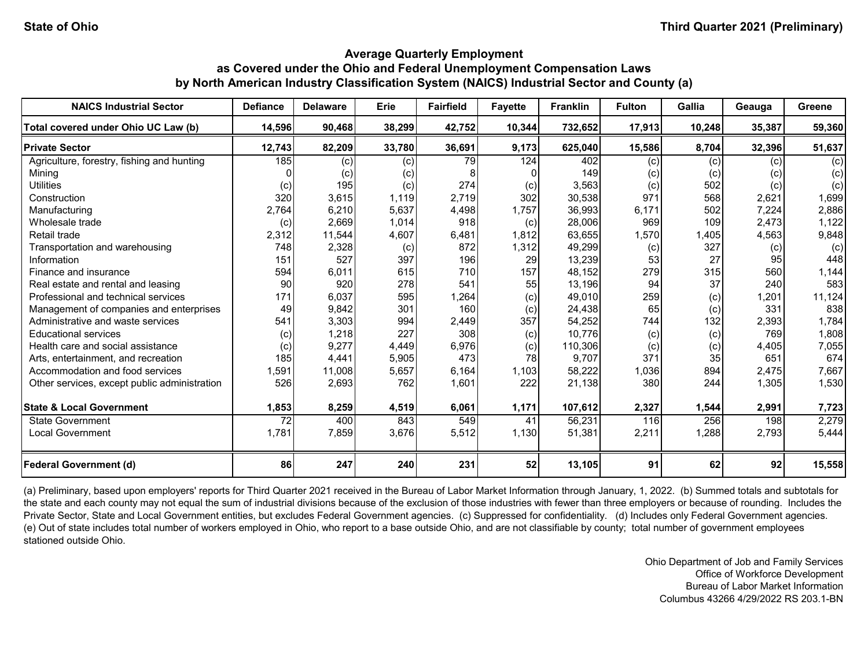| <b>NAICS Industrial Sector</b>               | <b>Defiance</b> | <b>Delaware</b> | Erie   | <b>Fairfield</b> | <b>Favette</b> | <b>Franklin</b> | <b>Fulton</b> | Gallia | Geauga | Greene |
|----------------------------------------------|-----------------|-----------------|--------|------------------|----------------|-----------------|---------------|--------|--------|--------|
| Total covered under Ohio UC Law (b)          | 14,596          | 90,468          | 38,299 | 42,752           | 10,344         | 732,652         | 17,913        | 10,248 | 35,387 | 59,360 |
| <b>Private Sector</b>                        | 12,743          | 82,209          | 33,780 | 36,691           | 9,173          | 625,040         | 15,586        | 8,704  | 32,396 | 51,637 |
| Agriculture, forestry, fishing and hunting   | 185             | (c)             | (c)    | 79               | 124            | 402             | (c)           | (c)    | (c)    | (c)    |
| Minina                                       |                 | (c)             | (c)    |                  |                | 149             | (c)           | (c)    | (c)    | (c)    |
| <b>Utilities</b>                             | (c)             | 195             | (c)    | 274              | (c)            | 3,563           | (c)           | 502    | (c)    | (c)    |
| Construction                                 | 320             | 3,615           | 1,119  | 2,719            | 302            | 30,538          | 971           | 568    | 2,621  | 1,699  |
| Manufacturing                                | 2,764           | 6,210           | 5,637  | 4,498            | 1,757          | 36,993          | 6,171         | 502    | 7,224  | 2,886  |
| Wholesale trade                              | (c)             | 2,669           | 1,014  | 918              | (c)            | 28,006          | 969           | 109    | 2,473  | 1,122  |
| Retail trade                                 | 2,312           | 11,544          | 4,607  | 6,481            | 1,812          | 63,655          | 1,570         | 1,405  | 4,563  | 9,848  |
| Transportation and warehousing               | 748             | 2,328           | (c)    | 872              | 1,312          | 49,299          | (c)           | 327    | (c)    | (c)    |
| Information                                  | 151             | 527             | 397    | 196              | 29             | 13,239          | 53            | 27     | 95     | 448    |
| Finance and insurance                        | 594             | 6,011           | 615    | 710              | 157            | 48,152          | 279           | 315    | 560    | 1,144  |
| Real estate and rental and leasing           | 90              | 920             | 278    | 541              | 55             | 13,196          | 94            | 37     | 240    | 583    |
| Professional and technical services          | 171             | 6,037           | 595    | 1,264            | (c)            | 49,010          | 259           | (c)    | 1,201  | 11,124 |
| Management of companies and enterprises      | 49              | 9,842           | 301    | 160              | (c)            | 24,438          | 65            | (c)    | 331    | 838    |
| Administrative and waste services            | 541             | 3,303           | 994    | 2,449            | 357            | 54,252          | 744           | 132    | 2,393  | 1,784  |
| <b>Educational services</b>                  | (c)             | 1,218           | 227    | 308              | (c)            | 10,776          | (c)           | (c)    | 769    | 1,808  |
| Health care and social assistance            | (c)             | 9,277           | 4,449  | 6,976            | (c)            | 110,306         | (c)           | (c)    | 4,405  | 7,055  |
| Arts, entertainment, and recreation          | 185             | 4,441           | 5,905  | 473              | 78             | 9,707           | 371           | 35     | 651    | 674    |
| Accommodation and food services              | 1,591           | 11,008          | 5,657  | 6,164            | 1,103          | 58,222          | 1,036         | 894    | 2,475  | 7,667  |
| Other services, except public administration | 526             | 2,693           | 762    | 1,601            | 222            | 21,138          | 380           | 244    | 1,305  | 1,530  |
| <b>State &amp; Local Government</b>          | 1,853           | 8,259           | 4,519  | 6,061            | 1,171          | 107,612         | 2,327         | 1,544  | 2,991  | 7,723  |
| <b>State Government</b>                      | 72              | 400             | 843    | 549              | 41             | 56,231          | 116           | 256    | 198    | 2,279  |
| <b>Local Government</b>                      | 1,781           | 7,859           | 3,676  | 5,512            | 1,130          | 51,381          | 2,211         | 1,288  | 2,793  | 5,444  |
| <b>Federal Government (d)</b>                | 86              | 247             | 240    | 231              | 52             | 13,105          | 91            | 62     | 92     | 15,558 |

(a) Preliminary, based upon employers' reports for Third Quarter 2021 received in the Bureau of Labor Market Information through January, 1, 2022. (b) Summed totals and subtotals for the state and each county may not equal the sum of industrial divisions because of the exclusion of those industries with fewer than three employers or because of rounding. Includes the Private Sector, State and Local Government entities, but excludes Federal Government agencies. (c) Suppressed for confidentiality. (d) Includes only Federal Government agencies. (e) Out of state includes total number of workers employed in Ohio, who report to a base outside Ohio, and are not classifiable by county; total number of government employees stationed outside Ohio.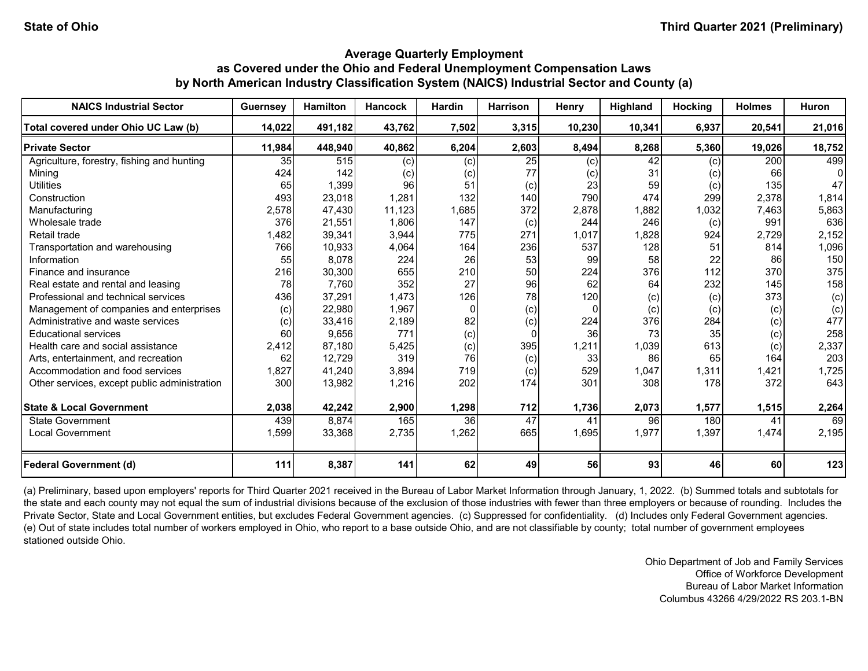| <b>NAICS Industrial Sector</b>               | <b>Guernsey</b> | <b>Hamilton</b> | <b>Hancock</b> | <b>Hardin</b> | <b>Harrison</b> | Henry    | Highland | <b>Hocking</b> | <b>Holmes</b> | <b>Huron</b> |
|----------------------------------------------|-----------------|-----------------|----------------|---------------|-----------------|----------|----------|----------------|---------------|--------------|
| Total covered under Ohio UC Law (b)          | 14,022          | 491,182         | 43,762         | 7,502         | 3,315           | 10,230   | 10,341   | 6,937          | 20,541        | 21,016       |
| <b>Private Sector</b>                        | 11,984          | 448,940         | 40,862         | 6,204         | 2,603           | 8,494    | 8,268    | 5,360          | 19,026        | 18,752       |
| Agriculture, forestry, fishing and hunting   | 35 <sub>l</sub> | 515             | (c)            | (c)           | 25              | (c)      | 42       | (c)            | 200           | 499          |
| Mining                                       | 424             | 142             | (c)            | (c)           | 77              | (c)      | 31       | (c)            | 66            |              |
| <b>Utilities</b>                             | 65              | 1,399           | 96             | 51            | (c)             | 23       | 59       | (c)            | 135           | 47           |
| Construction                                 | 493             | 23,018          | 1,281          | 132           | 140             | 790      | 474      | 299            | 2,378         | 1,814        |
| Manufacturing                                | 2,578           | 47,430          | 11,123         | 1,685         | 372             | 2,878    | 1,882    | 1,032          | 7,463         | 5,863        |
| Wholesale trade                              | 376             | 21,551          | 1,806          | 147           | (c)             | 244      | 246      | (c)            | 991           | 636          |
| Retail trade                                 | 1,482           | 39,341          | 3,944          | 775           | 271             | 1,017    | 1,828    | 924            | 2,729         | 2,152        |
| Transportation and warehousing               | 766             | 10,933          | 4,064          | 164           | 236             | 537      | 128      | 51             | 814           | 1,096        |
| Information                                  | 55              | 8,078           | 224            | 26            | 53              | 99       | 58       | 22             | 86            | 150          |
| Finance and insurance                        | 216             | 30,300          | 655            | 210           | 50              | 224      | 376      | 112            | 370           | 375          |
| Real estate and rental and leasing           | 78              | 7,760           | 352            | 27            | 96              | 62       | 64       | 232            | 145           | 158          |
| Professional and technical services          | 436             | 37,291          | 1,473          | 126           | 78              | 120      | (c)      | (c)            | 373           | (c)          |
| Management of companies and enterprises      | (c)             | 22,980          | 1,967          | 0             | (c)             | $\Omega$ | (c)      | (c)            | (c)           | (c)          |
| Administrative and waste services            | (c)             | 33,416          | 2,189          | 82            | (c)             | 224      | 376      | 284            | (c)           | 477          |
| <b>Educational services</b>                  | 60              | 9,656           | 771            | (c)           | $\Omega$        | 36       | 73       | 35             | (c)           | 258          |
| Health care and social assistance            | 2,412           | 87,180          | 5,425          | (c)           | 395             | 1,211    | 1,039    | 613            | (c)           | 2,337        |
| Arts, entertainment, and recreation          | 62              | 12,729          | 319            | 76            | (c)             | 33       | 86       | 65             | 164           | 203          |
| Accommodation and food services              | 1,827           | 41,240          | 3,894          | 719           | (c)             | 529      | 1,047    | 1,311          | 1,421         | 1,725        |
| Other services, except public administration | 300             | 13,982          | 1,216          | 202           | 174             | 301      | 308      | 178            | 372           | 643          |
| <b>State &amp; Local Government</b>          | 2,038           | 42,242          | 2,900          | 1,298         | 712             | 1,736    | 2,073    | 1,577          | 1,515         | 2,264        |
| State Government                             | 439             | 8,874           | 165            | 36            | 47              | 41       | 96       | 180            | 41            | 69           |
| <b>Local Government</b>                      | 1,599           | 33,368          | 2,735          | 1,262         | 665             | 1,695    | 1,977    | 1,397          | 1,474         | 2,195        |
| <b>Federal Government (d)</b>                | 111             | 8,387           | 141            | 62            | 49              | 56       | 93       | 46             | 60            | 123          |

(a) Preliminary, based upon employers' reports for Third Quarter 2021 received in the Bureau of Labor Market Information through January, 1, 2022. (b) Summed totals and subtotals for the state and each county may not equal the sum of industrial divisions because of the exclusion of those industries with fewer than three employers or because of rounding. Includes the Private Sector, State and Local Government entities, but excludes Federal Government agencies. (c) Suppressed for confidentiality. (d) Includes only Federal Government agencies. (e) Out of state includes total number of workers employed in Ohio, who report to a base outside Ohio, and are not classifiable by county; total number of government employees stationed outside Ohio.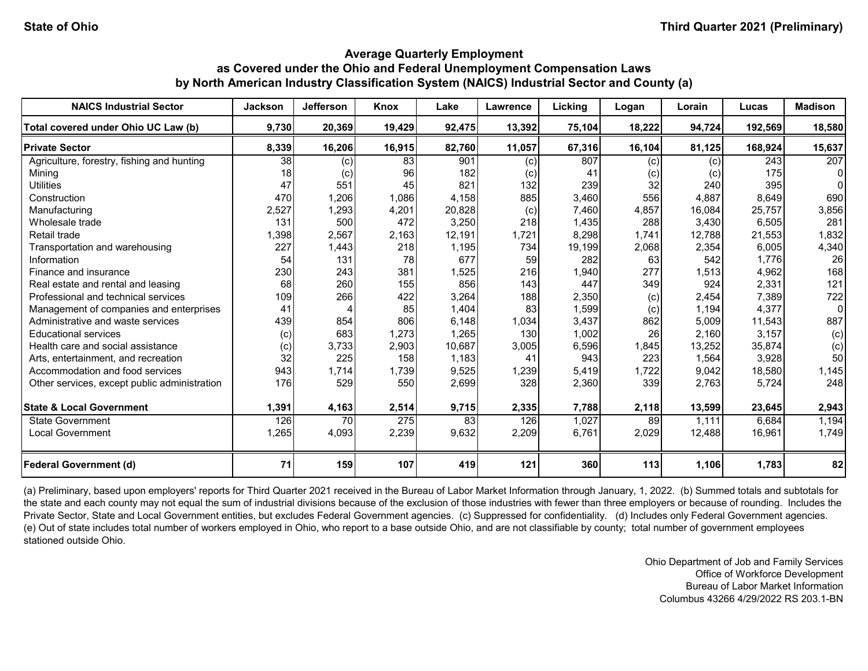| <b>NAICS Industrial Sector</b>               | <b>Jackson</b> | Jefferson                  | Knox   | Lake   | Lawrence | Licking | Logan  | Lorain | Lucas   | <b>Madison</b> |
|----------------------------------------------|----------------|----------------------------|--------|--------|----------|---------|--------|--------|---------|----------------|
| Total covered under Ohio UC Law (b)          | 9,730          | 20,369                     | 19,429 | 92,475 | 13,392   | 75,104  | 18,222 | 94,724 | 192,569 | 18,580         |
| <b>Private Sector</b>                        | 8,339          | 16,206                     | 16,915 | 82,760 | 11,057   | 67,316  | 16,104 | 81,125 | 168,924 | 15,637         |
| Agriculture, forestry, fishing and hunting   | 38             | (c)                        | 83     | 901    | (c)      | 807     | (c)    | (c)    | 243     | 207            |
| Mining                                       | 18             | $\left( \mathrm{c}\right)$ | 96     | 182    | (c)      | 41      | (c)    | (c)    | 175     |                |
| <b>Utilities</b>                             | 47             | 551                        | 45     | 821    | 132      | 239     | 32     | 240    | 395     |                |
| Construction                                 | 470            | 1,206                      | 1,086  | 4,158  | 885      | 3,460   | 556    | 4,887  | 8.649   | 690            |
| Manufacturing                                | 2,527          | 1,293                      | 4,201  | 20,828 | (c)      | 7,460   | 4,857  | 16.084 | 25.757  | 3,856          |
| Wholesale trade                              | 131            | 500                        | 472    | 3,250  | 218      | 1,435   | 288    | 3,430  | 6,505   | 281            |
| Retail trade                                 | 1,398          | 2,567                      | 2,163  | 12,191 | 1,721    | 8,298   | 1,741  | 12,788 | 21,553  | 1,832          |
| Transportation and warehousing               | 227            | 1,443                      | 218    | 1,195  | 734      | 19,199  | 2,068  | 2,354  | 6,005   | 4,340          |
| Information                                  | 54             | 131                        | 78     | 677    | 59       | 282     | 63     | 542    | 1,776   | 26             |
| Finance and insurance                        | 230            | 243                        | 381    | 1,525  | 216      | 1,940   | 277    | 1,513  | 4,962   | 168            |
| Real estate and rental and leasing           | 68             | 260                        | 155    | 856    | 143      | 447     | 349    | 924    | 2,331   | 121            |
| Professional and technical services          | 109            | 266                        | 422    | 3,264  | 188      | 2,350   | (c)    | 2,454  | 7,389   | 722            |
| Management of companies and enterprises      | 41             |                            | 85     | 1,404  | 83       | 1,599   | (c)    | 1,194  | 4,377   | 0              |
| Administrative and waste services            | 439            | 854                        | 806    | 6,148  | 1,034    | 3,437   | 862    | 5,009  | 11,543  | 887            |
| <b>Educational services</b>                  | (c)            | 683                        | 1,273  | 1,265  | 130      | 1,002   | 26     | 2,160  | 3,157   | (c)            |
| Health care and social assistance            | (c)            | 3,733                      | 2,903  | 10,687 | 3,005    | 6,596   | 1,845  | 13,252 | 35,874  | (c)            |
| Arts, entertainment, and recreation          | 32             | 225                        | 158    | 1,183  | 41       | 943     | 223    | 1,564  | 3,928   | 50             |
| Accommodation and food services              | 943            | 1,714                      | 1,739  | 9,525  | 1,239    | 5,419   | 1,722  | 9,042  | 18,580  | 1,145          |
| Other services, except public administration | 176            | 529                        | 550    | 2,699  | 328      | 2,360   | 339    | 2,763  | 5.724   | 248            |
| <b>State &amp; Local Government</b>          | 1,391          | 4,163                      | 2,514  | 9,715  | 2,335    | 7,788   | 2,118  | 13,599 | 23,645  | 2,943          |
| <b>State Government</b>                      | 126            | 70                         | 275    | 83     | 126      | 1,027   | 89     | 1,111  | 6,684   | 1,194          |
| <b>Local Government</b>                      | 1,265          | 4,093                      | 2,239  | 9,632  | 2,209    | 6,761   | 2,029  | 12,488 | 16,961  | 1,749          |
| <b>Federal Government (d)</b>                | 71             | 159                        | 107    | 419    | 121      | 360     | 113    | 1,106  | 1,783   | 82             |

(a) Preliminary, based upon employers' reports for Third Quarter 2021 received in the Bureau of Labor Market Information through January, 1, 2022. (b) Summed totals and subtotals for the state and each county may not equal the sum of industrial divisions because of the exclusion of those industries with fewer than three employers or because of rounding. Includes the Private Sector, State and Local Government entities, but excludes Federal Government agencies. (c) Suppressed for confidentiality. (d) Includes only Federal Government agencies. (e) Out of state includes total number of workers employed in Ohio, who report to a base outside Ohio, and are not classifiable by county; total number of government employees stationed outside Ohio.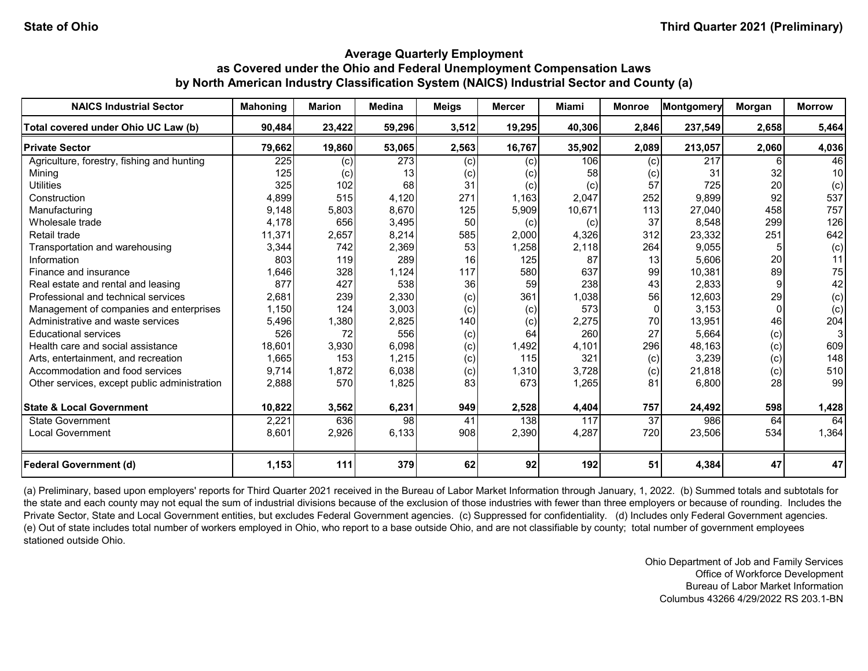| <b>NAICS Industrial Sector</b>               | <b>Mahoning</b> | <b>Marion</b>     | <b>Medina</b>   | <b>Meigs</b> | <b>Mercer</b> | Miami  | <b>Monroe</b>   | Montgomery | Morgan | <b>Morrow</b> |
|----------------------------------------------|-----------------|-------------------|-----------------|--------------|---------------|--------|-----------------|------------|--------|---------------|
| Total covered under Ohio UC Law (b)          | 90,484          | 23,422            | 59,296          | 3,512        | 19,295        | 40,306 | 2,846           | 237,549    | 2,658  | 5,464         |
| <b>Private Sector</b>                        | 79,662          | 19,860            | 53,065          | 2,563        | 16,767        | 35,902 | 2,089           | 213,057    | 2,060  | 4,036         |
| Agriculture, forestry, fishing and hunting   | 225             | (c)               | 273             | (c)          | (c)           | 106    | (c)             | 217        |        | 46            |
| Mining                                       | 125             | $\left( c\right)$ | 13              | (c)          | (c)           | 58     | (c)             | 31         | 32     | 10            |
| <b>Utilities</b>                             | 325             | 102               | 68              | 31           | (c)           | (c)    | 57              | 725        | 20     | (c)           |
| Construction                                 | 4,899           | 515               | 4,120           | 271          | 1,163         | 2,047  | 252             | 9,899      | 92     | 537           |
| Manufacturing                                | 9,148           | 5,803             | 8,670           | 125          | 5,909         | 10,671 | 113             | 27,040     | 458    | 757           |
| Wholesale trade                              | 4,178           | 656               | 3,495           | 50           | (c)           | (c)    | 37              | 8,548      | 299    | 126           |
| Retail trade                                 | 11,371          | 2,657             | 8,214           | 585          | 2,000         | 4,326  | 312             | 23,332     | 251    | 642           |
| Transportation and warehousing               | 3,344           | 742               | 2,369           | 53           | 1,258         | 2,118  | 264             | 9,055      |        | (c)           |
| Information                                  | 803             | 119               | 289             | 16           | 125           | 87     | 13              | 5,606      | 20     | 11            |
| Finance and insurance                        | 1,646           | 328               | 1,124           | 117          | 580           | 637    | 99              | 10,381     | 89     | 75            |
| Real estate and rental and leasing           | 877             | 427               | 538             | 36           | 59            | 238    | 43              | 2,833      |        | 42            |
| Professional and technical services          | 2,681           | 239               | 2,330           | (c)          | 361           | 1,038  | 56              | 12,603     | 29     | (c)           |
| Management of companies and enterprises      | 1,150           | 124               | 3,003           | (c)          | (c)           | 573    | $\Omega$        | 3,153      |        | (c)           |
| Administrative and waste services            | 5,496           | 1,380             | 2,825           | 140          | (c)           | 2,275  | 70              | 13,951     | 46     | 204           |
| <b>Educational services</b>                  | 526             | 72                | 556             | (c)          | 64            | 260    | 27              | 5,664      | (c)    |               |
| Health care and social assistance            | 18,601          | 3,930             | 6,098           | (c)          | 1,492         | 4,101  | 296             | 48,163     | (c)    | 609           |
| Arts, entertainment, and recreation          | 1,665           | 153               | 1,215           | (c)          | 115           | 321    | (c)             | 3,239      | (c)    | 148           |
| Accommodation and food services              | 9,714           | 1,872             | 6,038           | (c)          | 1,310         | 3,728  | (c)             | 21,818     | (c)    | 510           |
| Other services, except public administration | 2,888           | 570               | 1,825           | 83           | 673           | 1,265  | 81              | 6,800      | 28     | 99            |
| <b>State &amp; Local Government</b>          | 10,822          | 3,562             | 6,231           | 949          | 2,528         | 4,404  | 757             | 24,492     | 598    | 1,428         |
| State Government                             | 2,221           | 636               | $\overline{98}$ | 41           | 138           | 117    | $\overline{37}$ | 986        | 64     | 64            |
| <b>Local Government</b>                      | 8,601           | 2,926             | 6,133           | 908          | 2,390         | 4,287  | 720             | 23,506     | 534    | 1,364         |
| <b>Federal Government (d)</b>                | 1,153           | 111               | 379             | 62           | 92            | 192    | 51              | 4,384      | 47     | 47            |

(a) Preliminary, based upon employers' reports for Third Quarter 2021 received in the Bureau of Labor Market Information through January, 1, 2022. (b) Summed totals and subtotals for the state and each county may not equal the sum of industrial divisions because of the exclusion of those industries with fewer than three employers or because of rounding. Includes the Private Sector, State and Local Government entities, but excludes Federal Government agencies. (c) Suppressed for confidentiality. (d) Includes only Federal Government agencies. (e) Out of state includes total number of workers employed in Ohio, who report to a base outside Ohio, and are not classifiable by county; total number of government employees stationed outside Ohio.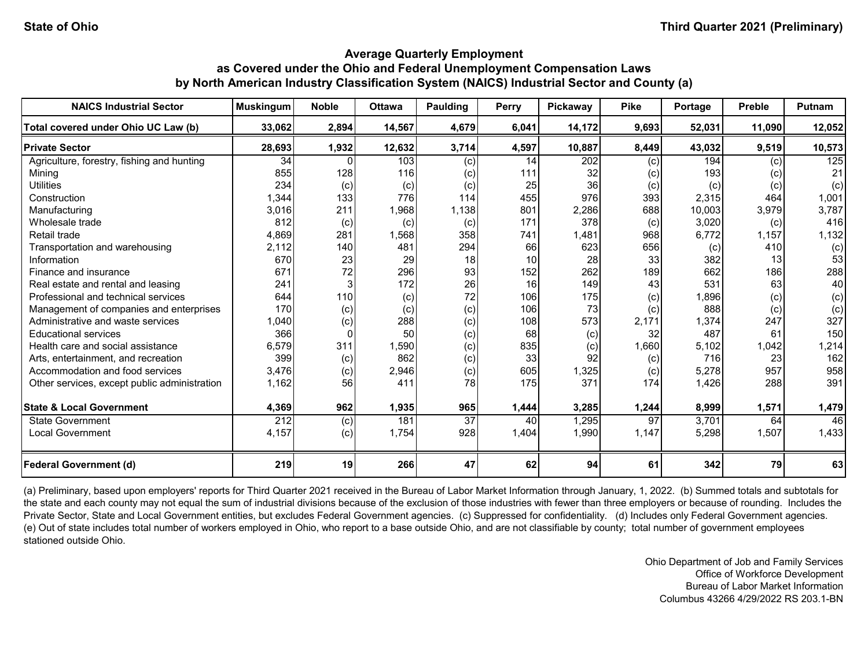| <b>NAICS Industrial Sector</b>               | <b>Muskingum</b> | <b>Noble</b>    | <b>Ottawa</b> | <b>Paulding</b> | <b>Perry</b> | <b>Pickaway</b> | <b>Pike</b> | Portage | <b>Preble</b> | <b>Putnam</b> |
|----------------------------------------------|------------------|-----------------|---------------|-----------------|--------------|-----------------|-------------|---------|---------------|---------------|
| Total covered under Ohio UC Law (b)          | 33,062           | 2,894           | 14,567        | 4,679           | 6,041        | 14,172          | 9,693       | 52,031  | 11,090        | 12,052        |
| <b>Private Sector</b>                        | 28,693           | 1,932           | 12,632        | 3,714           | 4,597        | 10,887          | 8,449       | 43,032  | 9,519         | 10,573        |
| Agriculture, forestry, fishing and hunting   | 34               |                 | 103           | (c)             | 14           | 202             | (c)         | 194     | (c)           | 125           |
| Minina                                       | 855              | 128             | 116           | (c)             | 111          | 32              | (c)         | 193     | (c)           | 21            |
| <b>Utilities</b>                             | 234              | (c)             | (c)           | (c)             | 25           | 36              | (c)         | (c)     | (c)           | (c)           |
| Construction                                 | 1,344            | 133             | 776           | 114             | 455          | 976             | 393         | 2,315   | 464           | 1,001         |
| Manufacturing                                | 3,016            | 211             | 1,968         | 1,138           | 801          | 2,286           | 688         | 10,003  | 3,979         | 3,787         |
| Wholesale trade                              | 812              | (c)             | (c)           | (c)             | 171          | 378             | (c)         | 3,020   | (c)           | 416           |
| Retail trade                                 | 4,869            | 281             | 1,568         | 358             | 741          | 1,481           | 968         | 6,772   | 1,157         | 1,132         |
| Transportation and warehousing               | 2,112            | 140             | 481           | 294             | 66           | 623             | 656         | (c)     | 410           | (c)           |
| Information                                  | 670              | 23              | 29            | 18              | 10           | 28              | 33          | 382     | 13            | 53            |
| Finance and insurance                        | 671              | 72              | 296           | 93              | 152          | 262             | 189         | 662     | 186           | 288           |
| Real estate and rental and leasing           | 241              |                 | 172           | 26              | 16           | 149             | 43          | 531     | 63            | 40            |
| Professional and technical services          | 644              | 110             | (c)           | 72              | 106          | 175             | (c)         | 1,896   | (c)           | (c)           |
| Management of companies and enterprises      | 170              | (c)             | (c)           | (c)             | 106          | 73              | (c)         | 888     | (c)           | (c)           |
| Administrative and waste services            | 1,040            | (c)             | 288           | (c)             | 108          | 573             | 2,171       | 1,374   | 247           | 327           |
| <b>Educational services</b>                  | 366              | $\Omega$        | 50            | (c)             | 68           | (c)             | 32          | 487     | 61            | 150           |
| Health care and social assistance            | 6,579            | 311             | 1,590         | (c)             | 835          | (c)             | 1,660       | 5,102   | 1,042         | 1,214         |
| Arts, entertainment, and recreation          | 399              | (c)             | 862           | (c)             | 33           | 92              | (c)         | 716     | 23            | 162           |
| Accommodation and food services              | 3,476            | (c)             | 2,946         | (c)             | 605          | 1,325           | (c)         | 5,278   | 957           | 958           |
| Other services, except public administration | 1,162            | 56              | 411           | 78              | 175          | 371             | 174         | 1,426   | 288           | 391           |
| <b>State &amp; Local Government</b>          | 4,369            | 962             | 1,935         | 965             | 1,444        | 3,285           | 1,244       | 8,999   | 1,571         | 1,479         |
| State Government                             | 212              | (c)             | 181           | $\overline{37}$ | 40           | 1,295           | 97          | 3,701   | 64            | 46            |
| <b>Local Government</b>                      | 4,157            | (c)             | 1,754         | 928             | 1,404        | 1,990           | 1,147       | 5,298   | 1,507         | 1,433         |
| <b>Federal Government (d)</b>                | 219              | 19 <sup>l</sup> | 266           | 47              | 62           | 94              | 61          | 342     | 79            | 63            |

(a) Preliminary, based upon employers' reports for Third Quarter 2021 received in the Bureau of Labor Market Information through January, 1, 2022. (b) Summed totals and subtotals for the state and each county may not equal the sum of industrial divisions because of the exclusion of those industries with fewer than three employers or because of rounding. Includes the Private Sector, State and Local Government entities, but excludes Federal Government agencies. (c) Suppressed for confidentiality. (d) Includes only Federal Government agencies. (e) Out of state includes total number of workers employed in Ohio, who report to a base outside Ohio, and are not classifiable by county; total number of government employees stationed outside Ohio.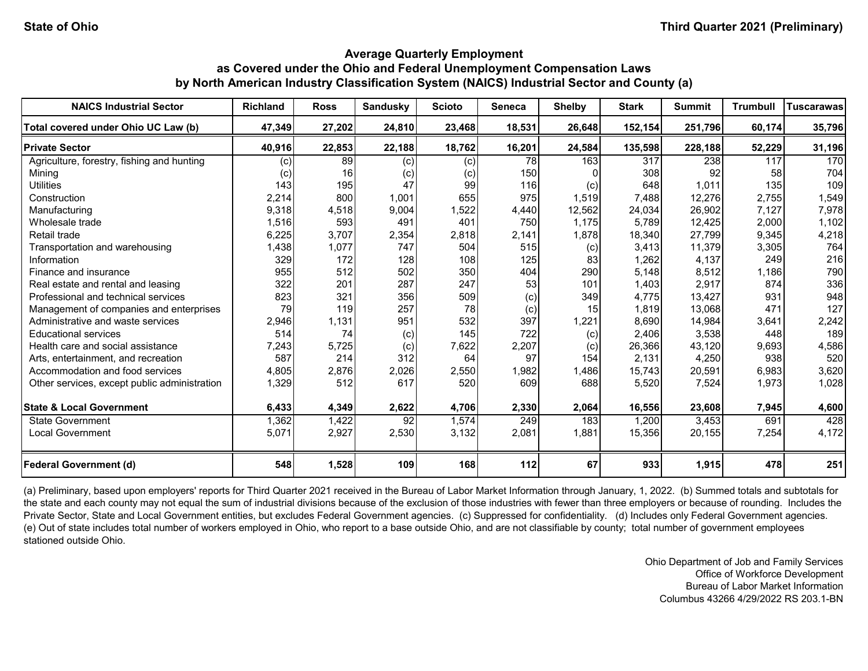| <b>NAICS Industrial Sector</b>               | <b>Richland</b> | <b>Ross</b> | Sandusky        | <b>Scioto</b> | <b>Seneca</b> | <b>Shelby</b>   | <b>Stark</b> | <b>Summit</b> | <b>Trumbull</b> | Tuscarawas |
|----------------------------------------------|-----------------|-------------|-----------------|---------------|---------------|-----------------|--------------|---------------|-----------------|------------|
| Total covered under Ohio UC Law (b)          | 47,349          | 27,202      | 24,810          | 23,468        | 18,531        | 26,648          | 152,154      | 251,796       | 60,174          | 35,796     |
| <b>Private Sector</b>                        | 40,916          | 22,853      | 22,188          | 18,762        | 16,201        | 24,584          | 135,598      | 228,188       | 52,229          | 31,196     |
| Agriculture, forestry, fishing and hunting   | (c)             | 89          | (c)             | (c)           | 78            | 163             | 317          | 238           | 117             | 170        |
| Mining                                       | (c)             | 16          | (c)             | (c)           | 150           |                 | 308          | 92            | 58              | 704        |
| <b>Utilities</b>                             | 143             | 195         | 47              | 99            | 116           | (c)             | 648          | 1,011         | 135             | 109        |
| Construction                                 | 2,214           | 800         | 1,001           | 655           | 975           | 1,519           | 7,488        | 12,276        | 2,755           | 1,549      |
| Manufacturing                                | 9,318           | 4,518       | 9,004           | 1,522         | 4,440         | 12,562          | 24,034       | 26,902        | 7,127           | 7,978      |
| Wholesale trade                              | 1,516           | 593         | 491             | 401           | 750           | 1,175           | 5,789        | 12,425        | 2,000           | 1,102      |
| Retail trade                                 | 6,225           | 3,707       | 2,354           | 2,818         | 2,141         | 1,878           | 18,340       | 27,799        | 9,345           | 4,218      |
| Transportation and warehousing               | 1,438           | 1,077       | 747             | 504           | 515           | (c)             | 3,413        | 11,379        | 3,305           | 764        |
| Information                                  | 329             | 172         | 128             | 108           | 125           | 83              | 1,262        | 4,137         | 249             | 216        |
| Finance and insurance                        | 955             | 512         | 502             | 350           | 404           | 290             | 5,148        | 8,512         | 1,186           | 790        |
| Real estate and rental and leasing           | 322             | 201         | 287             | 247           | 53            | 101             | 1,403        | 2,917         | 874             | 336        |
| Professional and technical services          | 823             | 321         | 356             | 509           | (c)           | 349             | 4,775        | 13,427        | 931             | 948        |
| Management of companies and enterprises      | 79              | 119         | 257             | 78            | (c)           | 15 <sup>1</sup> | 1,819        | 13,068        | 471             | 127        |
| Administrative and waste services            | 2,946           | 1,131       | 951             | 532           | 397           | 1,221           | 8,690        | 14,984        | 3,641           | 2,242      |
| <b>Educational services</b>                  | 514             | 74          | (c)             | 145           | 722           | (c)             | 2,406        | 3,538         | 448             | 189        |
| Health care and social assistance            | 7,243           | 5,725       | (c)             | 7,622         | 2,207         | (c)             | 26,366       | 43,120        | 9,693           | 4,586      |
| Arts, entertainment, and recreation          | 587             | 214         | 312             | 64            | 97            | 154             | 2,131        | 4,250         | 938             | 520        |
| Accommodation and food services              | 4.805           | 2,876       | 2,026           | 2,550         | 1,982         | 1,486           | 15,743       | 20,591        | 6,983           | 3,620      |
| Other services, except public administration | 1,329           | 512         | 617             | 520           | 609           | 688             | 5,520        | 7,524         | 1,973           | 1,028      |
| <b>State &amp; Local Government</b>          | 6,433           | 4,349       | 2,622           | 4,706         | 2,330         | 2,064           | 16,556       | 23,608        | 7,945           | 4,600      |
| State Government                             | 1,362           | 1,422       | $\overline{92}$ | 1,574         | 249           | 183             | 1,200        | 3,453         | 691             | 428        |
| <b>Local Government</b>                      | 5,071           | 2,927       | 2,530           | 3,132         | 2,081         | 1,881           | 15,356       | 20,155        | 7,254           | 4,172      |
| <b>Federal Government (d)</b>                | 548             | 1,528       | 109             | 168           | 112           | 67              | 933          | 1,915         | 478             | 251        |

(a) Preliminary, based upon employers' reports for Third Quarter 2021 received in the Bureau of Labor Market Information through January, 1, 2022. (b) Summed totals and subtotals for the state and each county may not equal the sum of industrial divisions because of the exclusion of those industries with fewer than three employers or because of rounding. Includes the Private Sector, State and Local Government entities, but excludes Federal Government agencies. (c) Suppressed for confidentiality. (d) Includes only Federal Government agencies. (e) Out of state includes total number of workers employed in Ohio, who report to a base outside Ohio, and are not classifiable by county; total number of government employees stationed outside Ohio.